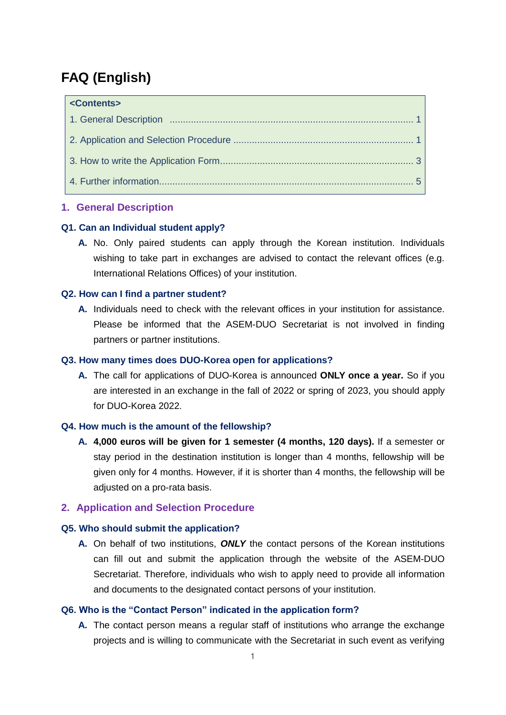# **FAQ (English)**

| <contents></contents> |  |
|-----------------------|--|
|                       |  |
|                       |  |
|                       |  |
|                       |  |

### **1. General Description**

### **Q1. Can an Individual student apply?**

**A.** No. Only paired students can apply through the Korean institution. Individuals wishing to take part in exchanges are advised to contact the relevant offices (e.g. International Relations Offices) of your institution.

### **Q2. How can I find a partner student?**

**A.** Individuals need to check with the relevant offices in your institution for assistance. Please be informed that the ASEM-DUO Secretariat is not involved in finding partners or partner institutions.

### **Q3. How many times does DUO-Korea open for applications?**

**A.** The call for applications of DUO-Korea is announced **ONLY once a year***.* So if you are interested in an exchange in the fall of 2022 or spring of 2023, you should apply for DUO-Korea 2022.

### **Q4. How much is the amount of the fellowship?**

**A. 4,000 euros will be given for 1 semester (4 months, 120 days).** If a semester or stay period in the destination institution is longer than 4 months, fellowship will be given only for 4 months. However, if it is shorter than 4 months, the fellowship will be adjusted on a pro-rata basis.

### **2. Application and Selection Procedure**

#### **Q5. Who should submit the application?**

**A.** On behalf of two institutions, *ONLY* the contact persons of the Korean institutions can fill out and submit the application through the website of the ASEM-DUO Secretariat. Therefore, individuals who wish to apply need to provide all information and documents to the designated contact persons of your institution.

#### **Q6. Who is the "Contact Person" indicated in the application form?**

**A.** The contact person means a regular staff of institutions who arrange the exchange projects and is willing to communicate with the Secretariat in such event as verifying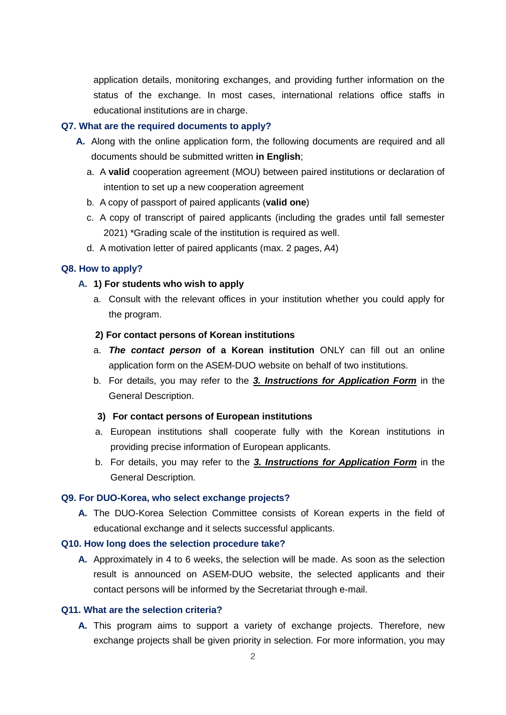application details, monitoring exchanges, and providing further information on the status of the exchange. In most cases, international relations office staffs in educational institutions are in charge.

#### **Q7. What are the required documents to apply?**

- **A.** Along with the online application form, the following documents are required and all documents should be submitted written **in English**;
	- a. A **valid** cooperation agreement (MOU) between paired institutions or declaration of intention to set up a new cooperation agreement
	- b. A copy of passport of paired applicants (**valid one**)
	- c. A copy of transcript of paired applicants (including the grades until fall semester 2021) \*Grading scale of the institution is required as well.
	- d. A motivation letter of paired applicants (max. 2 pages, A4)

#### **Q8. How to apply?**

#### **A. 1) For students who wish to apply**

a. Consult with the relevant offices in your institution whether you could apply for the program.

#### **2) For contact persons of Korean institutions**

- a. *The contact person* **of a Korean institution** ONLY can fill out an online application form on the ASEM-DUO website on behalf of two institutions.
- b. For details, you may refer to the *3. Instructions for Application Form* in the General Description.

#### **3) For contact persons of European institutions**

- a. European institutions shall cooperate fully with the Korean institutions in providing precise information of European applicants.
- b. For details, you may refer to the *3. Instructions for Application Form* in the General Description.

#### **Q9. For DUO-Korea, who select exchange projects?**

**A.** The DUO-Korea Selection Committee consists of Korean experts in the field of educational exchange and it selects successful applicants.

#### **Q10. How long does the selection procedure take?**

**A.** Approximately in 4 to 6 weeks, the selection will be made. As soon as the selection result is announced on ASEM-DUO website, the selected applicants and their contact persons will be informed by the Secretariat through e-mail.

### **Q11. What are the selection criteria?**

**A.** This program aims to support a variety of exchange projects. Therefore, new exchange projects shall be given priority in selection. For more information, you may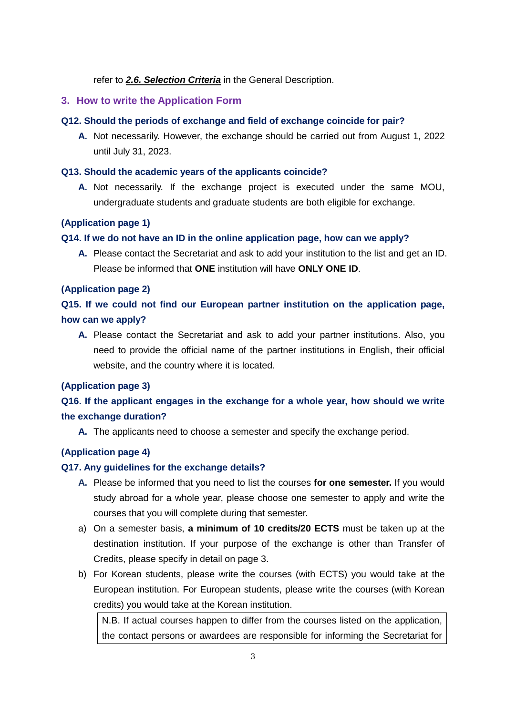refer to *2.6. Selection Criteria* in the General Description.

### **3. How to write the Application Form**

### **Q12. Should the periods of exchange and field of exchange coincide for pair?**

**A.** Not necessarily. However, the exchange should be carried out from August 1, 2022 until July 31, 2023.

### **Q13. Should the academic years of the applicants coincide?**

**A.** Not necessarily. If the exchange project is executed under the same MOU, undergraduate students and graduate students are both eligible for exchange.

### **(Application page 1)**

### **Q14. If we do not have an ID in the online application page, how can we apply?**

**A.** Please contact the Secretariat and ask to add your institution to the list and get an ID. Please be informed that **ONE** institution will have **ONLY ONE ID**.

### **(Application page 2)**

**Q15. If we could not find our European partner institution on the application page, how can we apply?**

**A.** Please contact the Secretariat and ask to add your partner institutions. Also, you need to provide the official name of the partner institutions in English, their official website, and the country where it is located.

### **(Application page 3)**

# **Q16. If the applicant engages in the exchange for a whole year, how should we write the exchange duration?**

**A.** The applicants need to choose a semester and specify the exchange period.

### **(Application page 4)**

### **Q17. Any guidelines for the exchange details?**

- **A.** Please be informed that you need to list the courses **for one semester.** If you would study abroad for a whole year, please choose one semester to apply and write the courses that you will complete during that semester.
- a) On a semester basis, **a minimum of 10 credits/20 ECTS** must be taken up at the destination institution. If your purpose of the exchange is other than Transfer of Credits, please specify in detail on page 3.
- b) For Korean students, please write the courses (with ECTS) you would take at the European institution. For European students, please write the courses (with Korean credits) you would take at the Korean institution.

N.B. If actual courses happen to differ from the courses listed on the application, the contact persons or awardees are responsible for informing the Secretariat for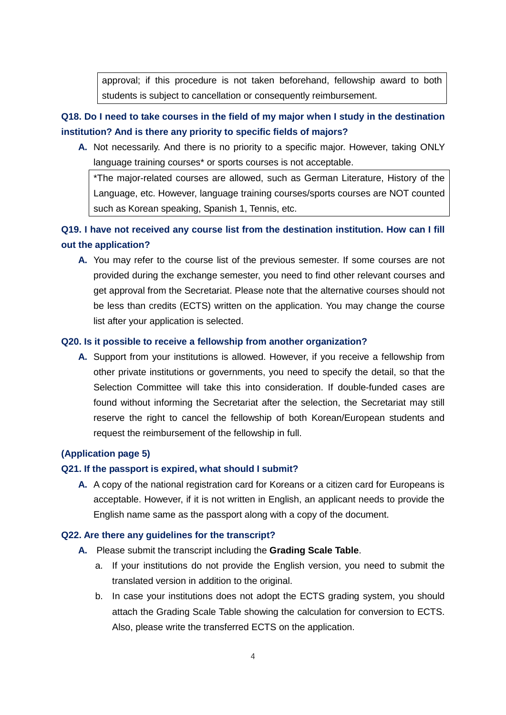approval; if this procedure is not taken beforehand, fellowship award to both students is subject to cancellation or consequently reimbursement.

## **Q18. Do I need to take courses in the field of my major when I study in the destination institution? And is there any priority to specific fields of majors?**

**A.** Not necessarily. And there is no priority to a specific major. However, taking ONLY language training courses\* or sports courses is not acceptable.

\*The major-related courses are allowed, such as German Literature, History of the Language, etc. However, language training courses/sports courses are NOT counted such as Korean speaking, Spanish 1, Tennis, etc.

# **Q19. I have not received any course list from the destination institution. How can I fill out the application?**

**A.** You may refer to the course list of the previous semester. If some courses are not provided during the exchange semester, you need to find other relevant courses and get approval from the Secretariat. Please note that the alternative courses should not be less than credits (ECTS) written on the application. You may change the course list after your application is selected.

#### **Q20. Is it possible to receive a fellowship from another organization?**

**A.** Support from your institutions is allowed. However, if you receive a fellowship from other private institutions or governments, you need to specify the detail, so that the Selection Committee will take this into consideration. If double-funded cases are found without informing the Secretariat after the selection, the Secretariat may still reserve the right to cancel the fellowship of both Korean/European students and request the reimbursement of the fellowship in full.

### **(Application page 5)**

#### **Q21. If the passport is expired, what should I submit?**

**A.** A copy of the national registration card for Koreans or a citizen card for Europeans is acceptable. However, if it is not written in English, an applicant needs to provide the English name same as the passport along with a copy of the document.

#### **Q22. Are there any guidelines for the transcript?**

- **A.** Please submit the transcript including the **Grading Scale Table**.
	- a. If your institutions do not provide the English version, you need to submit the translated version in addition to the original.
	- b. In case your institutions does not adopt the ECTS grading system, you should attach the Grading Scale Table showing the calculation for conversion to ECTS. Also, please write the transferred ECTS on the application.